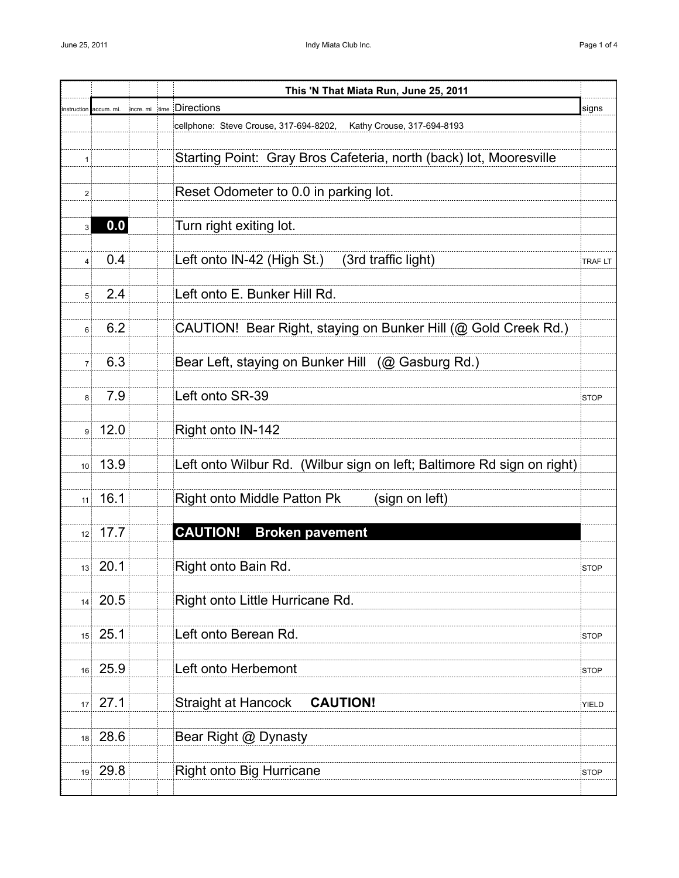|                 |                |           | This 'N That Miata Run, June 25, 2011                                  |              |
|-----------------|----------------|-----------|------------------------------------------------------------------------|--------------|
| instruction     | accum. mi.     | incre. mi | time Directions                                                        | signs        |
|                 |                |           | cellphone: Steve Crouse, 317-694-8202,<br>Kathy Crouse, 317-694-8193   |              |
|                 |                |           |                                                                        |              |
| 1 :             |                |           | Starting Point: Gray Bros Cafeteria, north (back) lot, Mooresville     |              |
|                 |                |           |                                                                        |              |
| 2:              |                |           | Reset Odometer to 0.0 in parking lot.                                  |              |
| $\overline{3}$  | 0.0            |           | Turn right exiting lot.                                                |              |
|                 |                |           |                                                                        |              |
| 4:              | 0.4            |           | Left onto IN-42 (High St.)<br>(3rd traffic light)                      | TRAF LT      |
|                 |                |           |                                                                        |              |
| 5 <sup>1</sup>  | 2.4            |           | Left onto E. Bunker Hill Rd.                                           |              |
|                 |                |           |                                                                        |              |
| 6 <sup>1</sup>  | 6.2            |           | CAUTION! Bear Right, staying on Bunker Hill (@ Gold Creek Rd.)         |              |
|                 |                |           |                                                                        |              |
| 7 <sup>1</sup>  | 6.3            |           | Bear Left, staying on Bunker Hill (@ Gasburg Rd.)                      |              |
|                 |                |           |                                                                        |              |
| $8\frac{1}{2}$  | 7.9            |           | Left onto SR-39                                                        | <b>STOP</b>  |
|                 |                |           |                                                                        |              |
|                 | 9.12.0         |           | Right onto IN-142                                                      |              |
|                 | $10^{1}$ 13.9  |           | Left onto Wilbur Rd. (Wilbur sign on left; Baltimore Rd sign on right) |              |
|                 |                |           |                                                                        |              |
|                 | $11$ 16.1      |           | <b>Right onto Middle Patton Pk</b><br>(sign on left)                   |              |
|                 |                |           |                                                                        |              |
|                 | $12 \mid 17.7$ |           | <b>CAUTION!</b><br><b>Broken pavement</b>                              |              |
|                 |                |           |                                                                        |              |
|                 | 13 20.1        |           | Right onto Bain Rd.                                                    | <b>STOP</b>  |
|                 |                |           |                                                                        |              |
|                 | $14$ 20.5      |           | Right onto Little Hurricane Rd.                                        |              |
|                 |                |           |                                                                        |              |
|                 | $15$ 25.1      |           | Left onto Berean Rd.                                                   | <b>STOP</b>  |
|                 |                |           |                                                                        |              |
|                 | 16 25.9        |           | Left onto Herbemont                                                    | <b>STOP</b>  |
|                 |                |           |                                                                        |              |
| 17 <sup>1</sup> | 27.1           |           | <b>CAUTION!</b><br><b>Straight at Hancock</b>                          | <b>YIELD</b> |
|                 | 18 28.6        |           | Bear Right @ Dynasty                                                   |              |
|                 |                |           |                                                                        |              |
|                 | $19$ 29.8      |           | <b>Right onto Big Hurricane</b>                                        | <b>STOP</b>  |
|                 |                |           |                                                                        |              |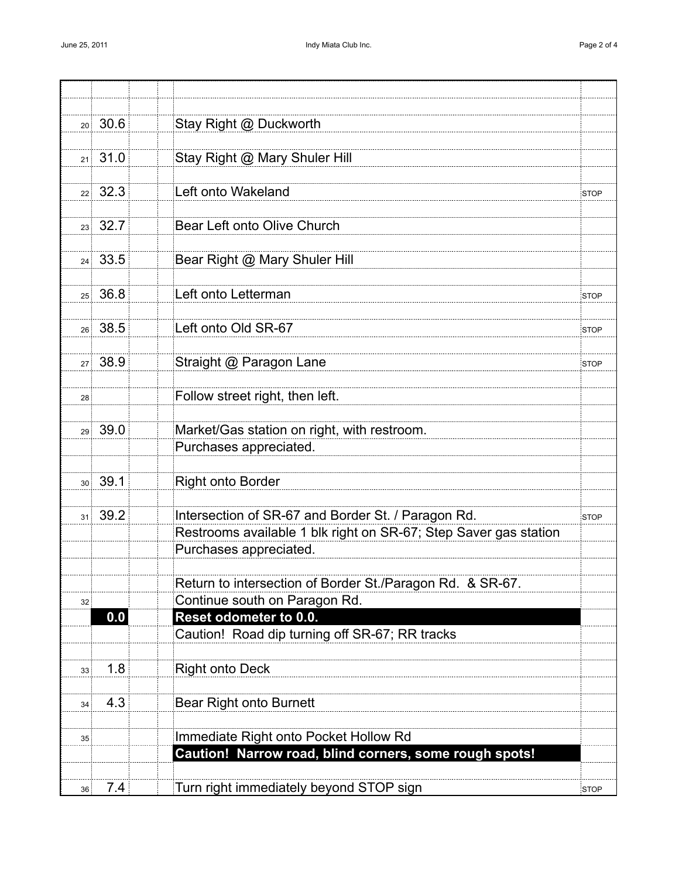|    | $20 \times 30.6$ | Stay Right @ Duckworth                                           |             |
|----|------------------|------------------------------------------------------------------|-------------|
|    | $21 \ 31.0$      | Stay Right @ Mary Shuler Hill                                    |             |
|    |                  |                                                                  |             |
|    | $22 \mid 32.3$   | Left onto Wakeland                                               | STOP        |
|    |                  |                                                                  |             |
|    | $23 \times 32.7$ | Bear Left onto Olive Church                                      |             |
|    | 24 33.5          | Bear Right @ Mary Shuler Hill                                    |             |
|    |                  |                                                                  |             |
|    | $25 \times 36.8$ | Left onto Letterman                                              | <b>STOP</b> |
|    |                  |                                                                  |             |
|    | 26 38.5          | Left onto Old SR-67                                              | <b>STOP</b> |
|    |                  |                                                                  |             |
|    | 27 38.9          | Straight @ Paragon Lane                                          | <b>STOP</b> |
| 28 |                  | Follow street right, then left.                                  |             |
|    |                  |                                                                  |             |
|    | 29 39.0          | Market/Gas station on right, with restroom.                      |             |
|    |                  | Purchases appreciated.                                           |             |
|    |                  |                                                                  |             |
|    | $30^{3}$ 39.1    | <b>Right onto Border</b>                                         |             |
|    | 31 39.2          | Intersection of SR-67 and Border St. / Paragon Rd.               | <b>STOP</b> |
|    |                  | Restrooms available 1 blk right on SR-67; Step Saver gas station |             |
|    |                  | Purchases appreciated.                                           |             |
|    |                  |                                                                  |             |
|    |                  | Return to intersection of Border St./Paragon Rd. & SR-67.        |             |
| 32 | 0.0              | Continue south on Paragon Rd.<br>Reset odometer to 0.0.          |             |
|    |                  | Caution! Road dip turning off SR-67; RR tracks                   |             |
|    |                  |                                                                  |             |
| 33 | 1.8              | <b>Right onto Deck</b>                                           |             |
|    |                  |                                                                  |             |
| 34 | 4.3              | <b>Bear Right onto Burnett</b>                                   |             |
| 35 |                  | Immediate Right onto Pocket Hollow Rd                            |             |
|    |                  | Caution! Narrow road, blind corners, some rough spots!           |             |
|    |                  |                                                                  |             |
| 36 | 7.4              | Turn right immediately beyond STOP sign                          | <b>STOP</b> |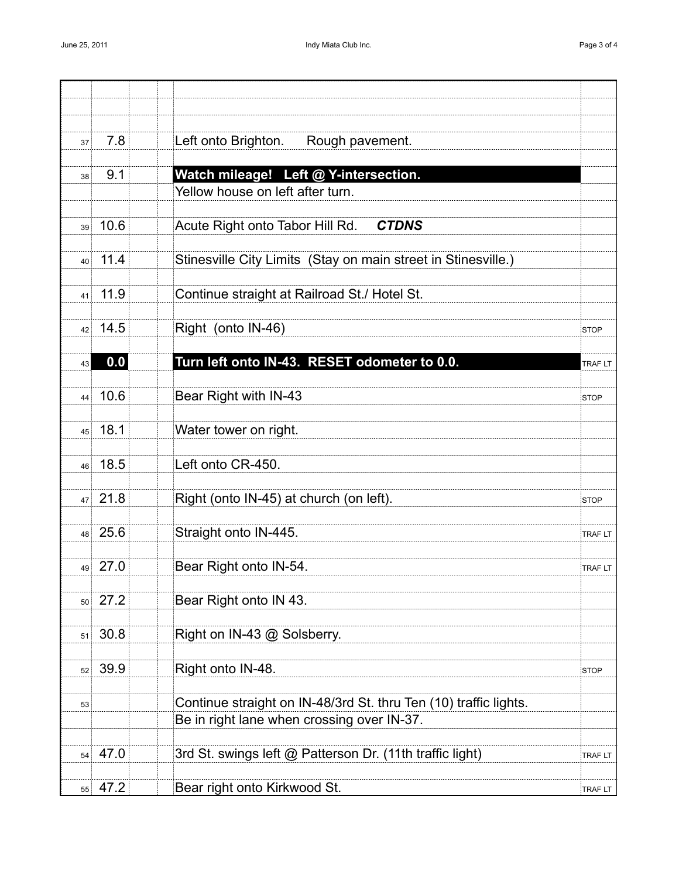| 37 <sup>1</sup>    | 7.8            | Left onto Brighton. Rough pavement.                              |                |
|--------------------|----------------|------------------------------------------------------------------|----------------|
|                    |                |                                                                  |                |
| 38 <sup>3</sup>    | 9.1            | Watch mileage! Left @ Y-intersection.                            |                |
|                    |                | Yellow house on left after turn.                                 |                |
|                    | 39.10.6        | Acute Right onto Tabor Hill Rd.<br><b>CTDNS</b>                  |                |
|                    |                |                                                                  |                |
|                    | $40$ 11.4      | Stinesville City Limits (Stay on main street in Stinesville.)    |                |
|                    | $41$ 11.9      | Continue straight at Railroad St./ Hotel St.                     |                |
|                    |                |                                                                  |                |
|                    | $42 \mid 14.5$ | Right (onto IN-46)                                               | <b>STOP</b>    |
| 43                 | 0.0            | Turn left onto IN-43. RESET odometer to 0.0.                     |                |
|                    |                |                                                                  | <b>TRAFLT</b>  |
|                    | 44 10.6        | Bear Right with IN-43                                            | <b>STOP</b>    |
|                    |                |                                                                  |                |
|                    | 45 18.1        | Water tower on right.                                            |                |
|                    | 46 18.5        | Left onto CR-450.                                                |                |
|                    |                |                                                                  |                |
|                    | $47 \ 21.8$    | Right (onto IN-45) at church (on left).                          | <b>STOP</b>    |
|                    | 48 25.6        | Straight onto IN-445.                                            | TRAF LT        |
|                    |                |                                                                  |                |
|                    | 49 27.0        | Bear Right onto IN-54.                                           | <b>TRAF LT</b> |
|                    | $50 \mid 27.2$ | Bear Right onto IN 43.                                           |                |
|                    |                |                                                                  |                |
| 51                 | 30.8           | Right on IN-43 @ Solsberry.                                      |                |
|                    |                |                                                                  |                |
| $52^{\frac{1}{2}}$ | 39.9           | Right onto IN-48.                                                | STOP           |
| 53                 |                | Continue straight on IN-48/3rd St. thru Ten (10) traffic lights. |                |
|                    |                | Be in right lane when crossing over IN-37.                       |                |
|                    | $54 \mid 47.0$ |                                                                  |                |
|                    |                | 3rd St. swings left @ Patterson Dr. (11th traffic light)         | TRAF LT        |
| 55 <sup>1</sup>    | 47.2           | Bear right onto Kirkwood St.                                     | TRAF LT        |